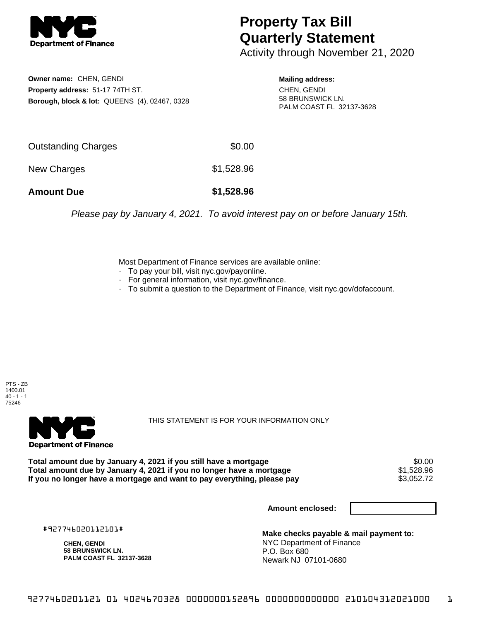

## **Property Tax Bill Quarterly Statement**

Activity through November 21, 2020

**Owner name:** CHEN, GENDI **Property address:** 51-17 74TH ST. **Borough, block & lot:** QUEENS (4), 02467, 0328

**Mailing address:** CHEN, GENDI 58 BRUNSWICK LN. PALM COAST FL 32137-3628

| <b>Amount Due</b>   | \$1,528.96 |
|---------------------|------------|
| New Charges         | \$1,528.96 |
| Outstanding Charges | \$0.00     |

Please pay by January 4, 2021. To avoid interest pay on or before January 15th.

Most Department of Finance services are available online:

- · To pay your bill, visit nyc.gov/payonline.
- For general information, visit nyc.gov/finance.
- · To submit a question to the Department of Finance, visit nyc.gov/dofaccount.





THIS STATEMENT IS FOR YOUR INFORMATION ONLY

Total amount due by January 4, 2021 if you still have a mortgage \$0.00<br>Total amount due by January 4, 2021 if you no longer have a mortgage \$1.528.96 **Total amount due by January 4, 2021 if you no longer have a mortgage**  $$1,528.96$ **<br>If you no longer have a mortgage and want to pay everything, please pay <b>show that have a** \$3,052.72 If you no longer have a mortgage and want to pay everything, please pay

**Amount enclosed:**

#927746020112101#

**CHEN, GENDI 58 BRUNSWICK LN. PALM COAST FL 32137-3628**

**Make checks payable & mail payment to:** NYC Department of Finance P.O. Box 680 Newark NJ 07101-0680